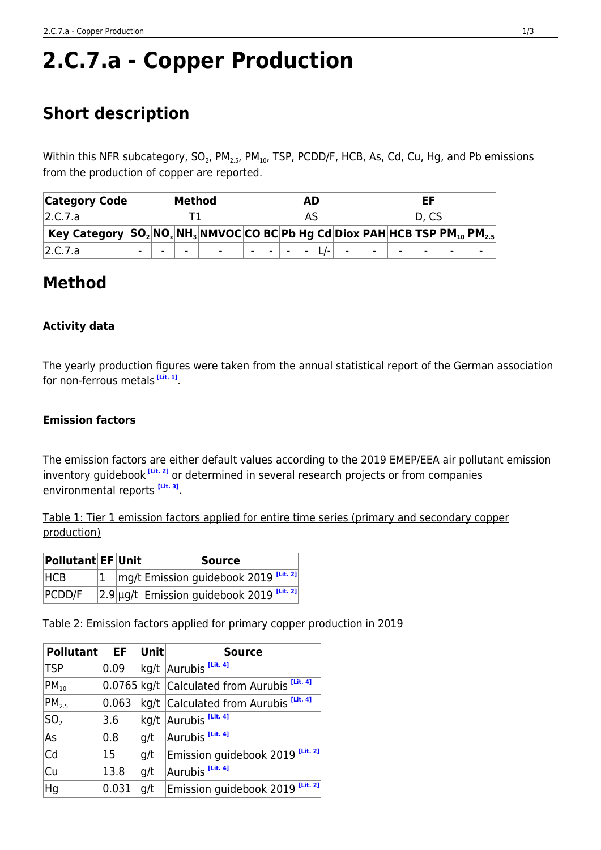# **2.C.7.a - Copper Production**

# **Short description**

Within this NFR subcategory, SO<sub>2</sub>, PM<sub>2.5</sub>, PM<sub>10</sub>, TSP, PCDD/F, HCB, As, Cd, Cu, Hg, and Pb emissions from the production of copper are reported.

| <b>Category Code</b>                                                                                                                                                                            | <b>Method</b> |  |  |                                                  | AD             |  |  |                 | ΕF |                |                |  |  |  |  |
|-------------------------------------------------------------------------------------------------------------------------------------------------------------------------------------------------|---------------|--|--|--------------------------------------------------|----------------|--|--|-----------------|----|----------------|----------------|--|--|--|--|
| 2.C.7.a                                                                                                                                                                                         |               |  |  |                                                  |                |  |  |                 |    | D. CS          |                |  |  |  |  |
| $\mid$ Key Category $\mid$ SO $_{2}$  NO $_{x}$  NH $_{3}$  NMVOC $\mid$ CO $\mid$ BC $\mid$ Pb $\mid$ Hg $\mid$ Cd $\mid$ Diox $\mid$ PAH $\mid$ HCB $\mid$ TSP $\mid$ PM $_{10}$  PM $_{2.5}$ |               |  |  |                                                  |                |  |  |                 |    |                |                |  |  |  |  |
| 2.C.7.a                                                                                                                                                                                         | $\sim$        |  |  | $\sim$ $\sim$ $\sim$ $\sim$ $\sim$ $\sim$ $\sim$ | $\blacksquare$ |  |  | -   -   -   L/- |    | $\blacksquare$ | $\blacksquare$ |  |  |  |  |

### **Method**

#### **Activity data**

The yearly production figures were taken from the annual statistical report of the German association for non-ferrous metals **[\[Lit. 1\]](#page-1-0)** .

#### **Emission factors**

The emission factors are either default values according to the 2019 EMEP/EEA air pollutant emission inventory guidebook **[\[Lit. 2\]](#page-1-0)** or determined in several research projects or from companies environmental reports **[\[Lit. 3\]](#page-1-0)** .

Table 1: Tier 1 emission factors applied for entire time series (primary and secondary copper production)

| Pollutant EF Unit |  | <b>Source</b>                             |
|-------------------|--|-------------------------------------------|
| IHCB.             |  | mg/t Emission guidebook 2019 [Lit. 2]     |
| <b>PCDD/F</b>     |  | 2.9 µg/t Emission guidebook 2019 [Lit. 2] |

Table 2: Emission factors applied for primary copper production in 2019

| Pollutant       | EF.   | $ $ Unit $ $ | <b>Source</b>                                |
|-----------------|-------|--------------|----------------------------------------------|
| <b>TSP</b>      | 0.09  |              | kg/t Aurubis [Lit. 4]                        |
| $PM_{10}$       |       |              | 0.0765 kg/t Calculated from Aurubis [Lit. 4] |
| $PM_{2.5}$      | 0.063 |              | kg/t Calculated from Aurubis [Lit. 4]        |
| SO <sub>2</sub> | 3.6   |              | kg/t Aurubis [Lit. 4]                        |
| As              | 0.8   | g/t          | Aurubis <sup>[Lit. 4]</sup>                  |
| Cd              | 15    | g/t          | [Lit. $2$ ]<br>Emission guidebook 2019       |
| Cu              | 13.8  | g/t          | Aurubis <sup>[Lit. 4]</sup>                  |
| Hg              | 0.031 | q/t          | [Lit. $2]$ ]<br>Emission guidebook 2019      |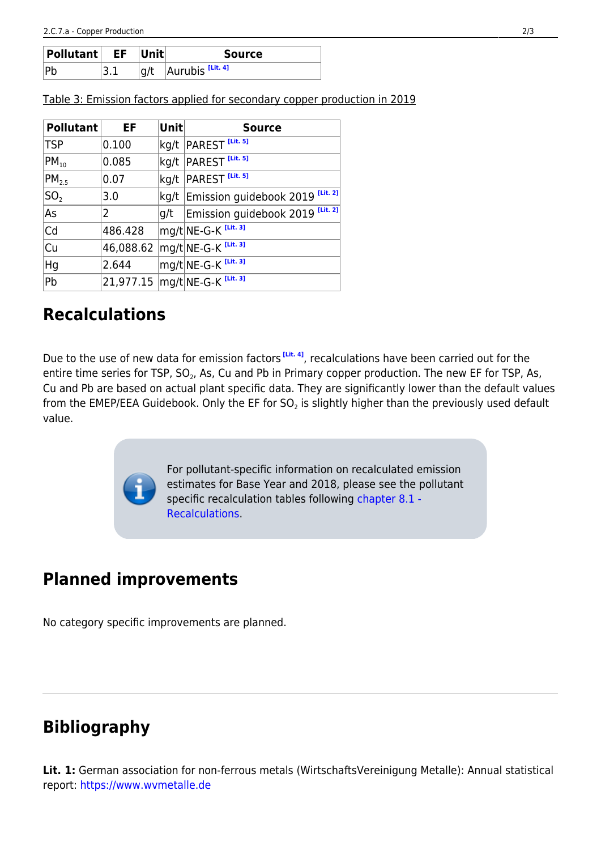| <b>Pollutant EF Unit</b> |     | <b>Source</b>               |
|--------------------------|-----|-----------------------------|
| Dŀ                       | g/t | Aurubis <sup>[Lit. 4]</sup> |

Table 3: Emission factors applied for secondary copper production in 2019

| Pollutant         | EF        | Unit | <b>Source</b>                         |
|-------------------|-----------|------|---------------------------------------|
| <b>TSP</b>        | 0.100     |      | kg/t PAREST [Lit. 5]                  |
| $PM_{10}$         | 0.085     |      | kg/t PAREST [Lit. 5]                  |
| PM <sub>2.5</sub> | 0.07      | kg/t | <b>PAREST</b> [Lit. 5]                |
| SO <sub>2</sub>   | 3.0       |      | kg/t Emission guidebook 2019 [Lit. 2] |
| As                | 2         | g/t  | Emission guidebook 2019 [Lit. 2]      |
| Cd                | 486.428   |      | mg/t NE-G-K [Lit. 3]                  |
| Cu                | 46,088.62 |      | mg/t NE-G-K [Lit. 3]                  |
| Hg                | 2.644     |      | mg/t NE-G-K [Lit. 3]                  |
| Pb                |           |      | 21,977.15 mg/t NE-G-K [Lit. 3]        |

### **Recalculations**

Due to the use of new data for emission factors **[\[Lit. 4\]](#page-1-0)**, recalculations have been carried out for the entire time series for TSP, SO<sub>2</sub>, As, Cu and Pb in Primary copper production. The new EF for TSP, As, Cu and Pb are based on actual plant specific data. They are significantly lower than the default values from the EMEP/EEA Guidebook. Only the EF for SO $_2$  is slightly higher than the previously used default value.



For pollutant-specific information on recalculated emission estimates for Base Year and 2018, please see the pollutant specific recalculation tables following [chapter 8.1 -](https://iir.umweltbundesamt.de/2021/general/recalculations/start) [Recalculations](https://iir.umweltbundesamt.de/2021/general/recalculations/start).

## **Planned improvements**

No category specific improvements are planned.

## <span id="page-1-0"></span>**Bibliography**

**Lit. 1:** German association for non-ferrous metals (WirtschaftsVereinigung Metalle): Annual statistical report:<https://www.wvmetalle.de>